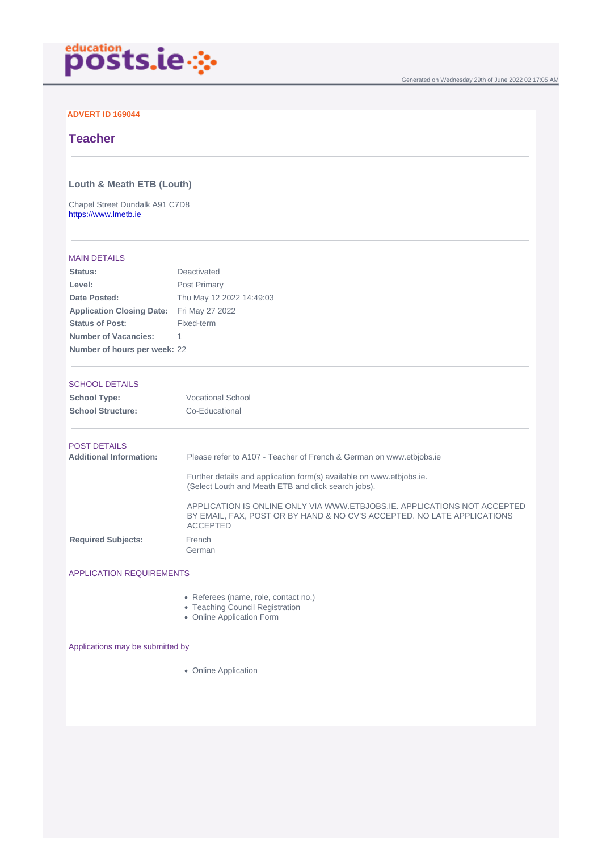Generated on Wednesday 29th of June 2022 02:17:05 AM

#### ADVERT ID 169044

# **Teacher**

Louth & Meath ETB (Louth)

Chapel Street Dundalk A91 C7D8 <https://www.lmetb.ie>

#### MAIN DETAILS

| Status:                          | Deactivated              |
|----------------------------------|--------------------------|
| Level:                           | Post Primary             |
| Date Posted:                     | Thu May 12 2022 14:49:03 |
| <b>Application Closing Date:</b> | Fri May 27 2022          |
| <b>Status of Post:</b>           | Fixed-term               |
| Number of Vacancies:             | 1                        |
| Number of hours per week:        | -22                      |

## SCHOOL DETAILS

| School Type:      | <b>Vocational School</b> |
|-------------------|--------------------------|
| School Structure: | Co-Educational           |

#### POST DETAILS

| Additional Information:   | Please refer to A107 - Teacher of French & German on www.etbiobs.ie                                                                                                    |
|---------------------------|------------------------------------------------------------------------------------------------------------------------------------------------------------------------|
|                           | Further details and application form(s) available on www.etbiobs.ie.<br>(Select Louth and Meath ETB and click search jobs).                                            |
|                           | APPLICATION IS ONLINE ONLY VIA WWW.ETBJOBS.IE. APPLICATIONS NOT ACCEPTED<br>BY EMAIL, FAX, POST OR BY HAND & NO CV'S ACCEPTED. NO LATE APPLICATIONS<br><b>ACCEPTED</b> |
| <b>Required Subjects:</b> | French<br>German                                                                                                                                                       |

## APPLICATION REQUIREMENTS

- Referees (name, role, contact no.)
- Teaching Council Registration
- Online Application Form

#### Applications may be submitted by

• Online Application